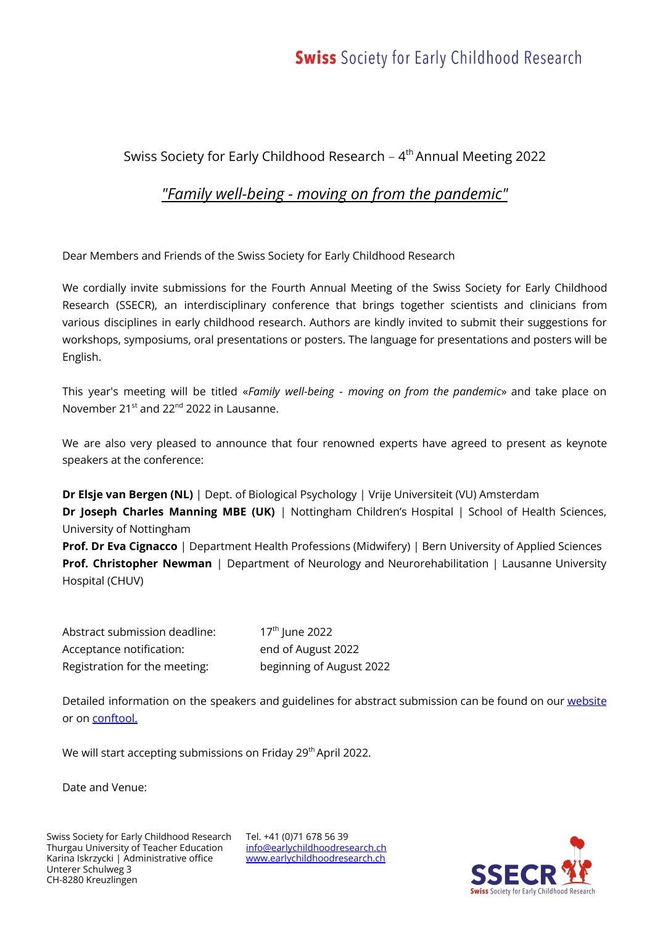# **Swiss** Society for Early Childhood Research

### Swiss Society for Early Childhood Research –  $4^{\text{th}}$  Annual Meeting 2022

### *"Family well-being - moving on from the pandemic"*

Dear Members and Friends of the Swiss Society for Early Childhood Research

We cordially invite submissions for the Fourth Annual Meeting of the Swiss Society for Early Childhood Research (SSECR), an interdisciplinary conference that brings together scientists and clinicians from various disciplines in early childhood research. Authors are kindly invited to submit their suggestions for workshops, symposiums, oral presentations or posters. The language for presentations and posters will be English.

This year's meeting will be titled «*Family well-being - moving on from the pandemic*» and take place on November 21<sup>st</sup> and 22<sup>nd</sup> 2022 in Lausanne.

We are also very pleased to announce that four renowned experts have agreed to present as keynote speakers at the conference:

**Dr Elsje van Bergen (NL)** | Dept. of Biological Psychology | Vrije Universiteit (VU) Amsterdam **Dr Joseph Charles Manning MBE (UK)** | Nottingham Children's Hospital | School of Health Sciences, University of Nottingham

**Prof. Dr Eva Cignacco** | Department Health Professions (Midwifery) | Bern University of Applied Sciences **Prof. Christopher Newman** | Department of Neurology and Neurorehabilitation | Lausanne University Hospital (CHUV)

Abstract submission deadline:  $17<sup>th</sup>$  lune 2022 Acceptance notification: end of August 2022 Registration for the meeting: beginning of August 2022

Detailed information on the speakers and guidelines for abstract submission can be found on our [website](https://www.earlychildhoodresearch.ch/annual_meetings/annual_meeting_2022) or on [conftool.](https://www.conftool.org/ssecr2022)

We will start accepting submissions on Friday 29<sup>th</sup> April 2022.

Date and Venue:

Tel. +41 (0)71 678 56 39 [info@earlychildhoodresearch.ch](mailto:info@earlychildhoodresearch.ch) [www.earlychildhoodresearch.ch](http://www.earlychildhoodresearch.ch/)

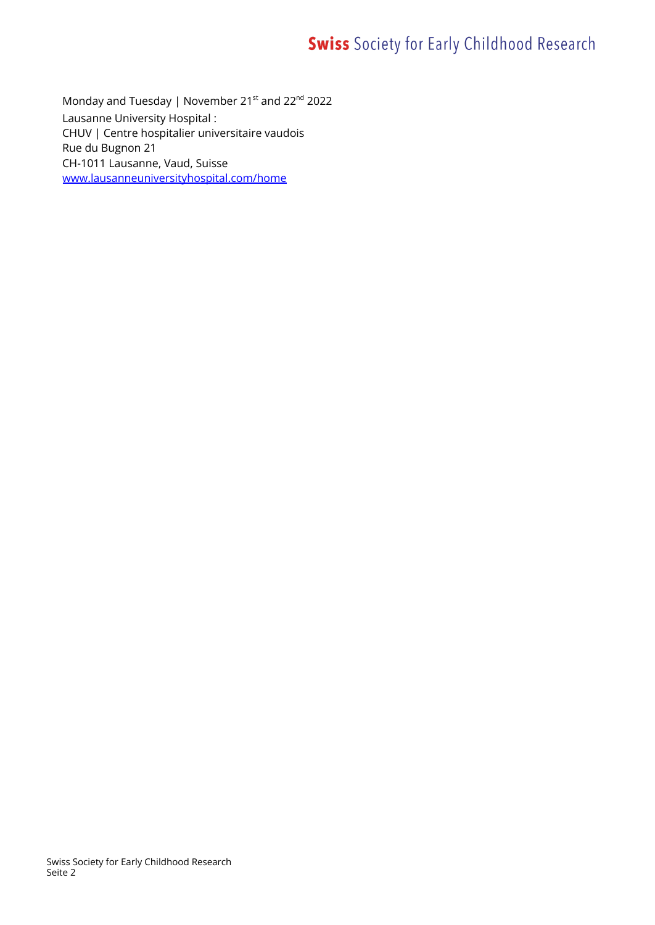# **Swiss** Society for Early Childhood Research

Monday and Tuesday | November 21st and 22 $^{\text{nd}}$  2022 Lausanne University Hospital : CHUV | Centre hospitalier universitaire vaudois Rue du Bugnon 21 CH-1011 Lausanne, Vaud, Suisse [www.lausanneuniversityhospital.com/home](http://www.lausanneuniversityhospital.com/home)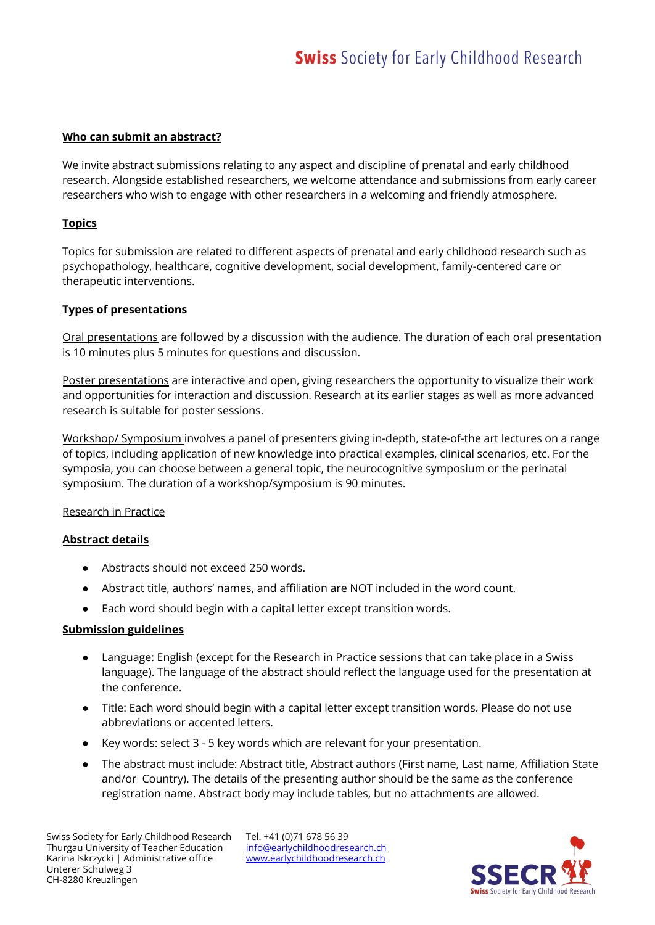#### **Who can submit an abstract?**

We invite abstract submissions relating to any aspect and discipline of prenatal and early childhood research. Alongside established researchers, we welcome attendance and submissions from early career researchers who wish to engage with other researchers in a welcoming and friendly atmosphere.

#### **Topics**

Topics for submission are related to different aspects of prenatal and early childhood research such as psychopathology, healthcare, cognitive development, social development, family-centered care or therapeutic interventions.

#### **Types of presentations**

Oral presentations are followed by a discussion with the audience. The duration of each oral presentation is 10 minutes plus 5 minutes for questions and discussion.

Poster presentations are interactive and open, giving researchers the opportunity to visualize their work and opportunities for interaction and discussion. Research at its earlier stages as well as more advanced research is suitable for poster sessions.

Workshop/ Symposium involves a panel of presenters giving in-depth, state-of-the art lectures on a range of topics, including application of new knowledge into practical examples, clinical scenarios, etc. For the symposia, you can choose between a general topic, the neurocognitive symposium or the perinatal symposium. The duration of a workshop/symposium is 90 minutes.

#### Research in Practice

#### **Abstract details**

- Abstracts should not exceed 250 words.
- Abstract title, authors' names, and affiliation are NOT included in the word count.
- Each word should begin with a capital letter except transition words.

#### **Submission guidelines**

- Language: English (except for the Research in Practice sessions that can take place in a Swiss language). The language of the abstract should reflect the language used for the presentation at the conference.
- Title: Each word should begin with a capital letter except transition words. Please do not use abbreviations or accented letters.
- Key words: select 3 5 key words which are relevant for your presentation.
- The abstract must include: Abstract title, Abstract authors (First name, Last name, Affiliation State and/or Country). The details of the presenting author should be the same as the conference registration name. Abstract body may include tables, but no attachments are allowed.

Tel. +41 (0)71 678 56 39 [info@earlychildhoodresearch.ch](mailto:info@earlychildhoodresearch.ch) [www.earlychildhoodresearch.ch](http://www.earlychildhoodresearch.ch/)